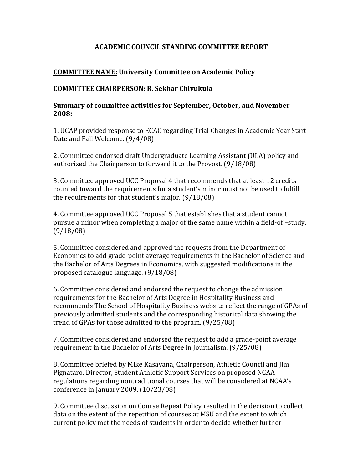### **ACADEMIC COUNCIL STANDING COMMITTEE REPORT**

## **COMMITTEE NAME: University Committee on Academic Policy**

### **COMMITTEE CHAIRPERSON: R. Sekhar Chivukula**

#### **Summary of committee activities for September, October, and November 2008:**

1. UCAP provided response to ECAC regarding Trial Changes in Academic Year Start Date and Fall Welcome. (9/4/08)

2. Committee endorsed draft Undergraduate Learning Assistant (ULA) policy and authorized the Chairperson to forward it to the Provost.  $(9/18/08)$ 

3. Committee approved UCC Proposal 4 that recommends that at least 12 credits counted toward the requirements for a student's minor must not be used to fulfill the requirements for that student's major.  $(9/18/08)$ 

4. Committee approved UCC Proposal 5 that establishes that a student cannot pursue a minor when completing a major of the same name within a field-of -study. (9/18/08)

5. Committee considered and approved the requests from the Department of Economics to add grade-point average requirements in the Bachelor of Science and the Bachelor of Arts Degrees in Economics, with suggested modifications in the proposed catalogue language.  $(9/18/08)$ 

6. Committee considered and endorsed the request to change the admission requirements for the Bachelor of Arts Degree in Hospitality Business and recommends The School of Hospitality Business website reflect the range of GPAs of previously admitted students and the corresponding historical data showing the trend of GPAs for those admitted to the program.  $(9/25/08)$ 

7. Committee considered and endorsed the request to add a grade-point average requirement in the Bachelor of Arts Degree in Journalism.  $(9/25/08)$ 

8. Committee briefed by Mike Kasavana, Chairperson, Athletic Council and Jim Pignataro, Director, Student Athletic Support Services on proposed NCAA regulations regarding nontraditional courses that will be considered at NCAA's conference in January 2009.  $(10/23/08)$ 

9. Committee discussion on Course Repeat Policy resulted in the decision to collect data on the extent of the repetition of courses at MSU and the extent to which current policy met the needs of students in order to decide whether further